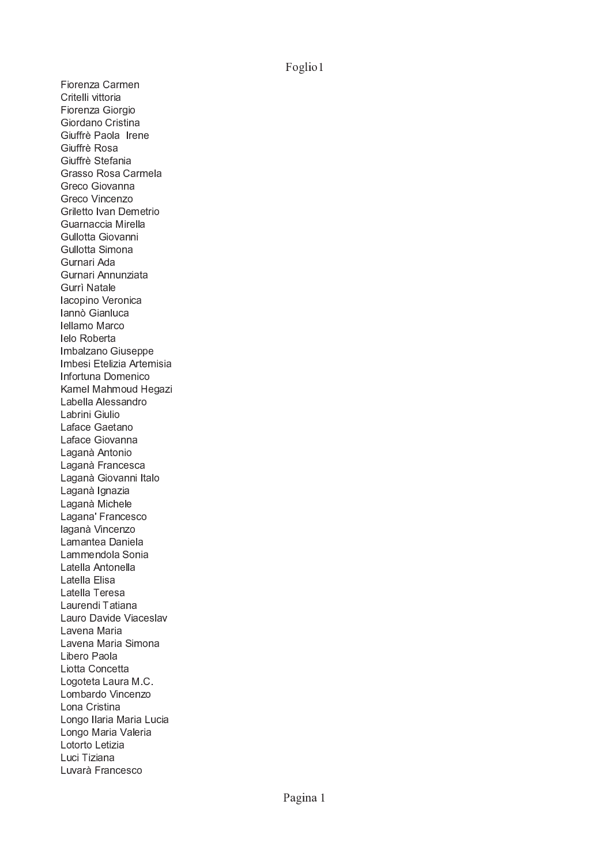Foglio1

Fiorenza Carmen Critelli vittoria Fiorenza Giorgio Giordano Cristina Giuffrè Paola Irene Giuffrè Rosa Giuffrè Stefania Grasso Rosa Carmela Greco Giovanna Greco Vincenzo Griletto Ivan Demetrio Guarnaccia Mirella Gullotta Giovanni Gullotta Simona Gurnari Ada Gurnari Annunziata **Gurrì Natale** lacopino Veronica lannò Gianluca Iellamo Marco lelo Roberta Imbalzano Giuseppe Imbesi Etelizia Artemisia Infortuna Domenico Kamel Mahmoud Hegazi Labella Alessandro Labrini Giulio Laface Gaetano Laface Giovanna Laganà Antonio Laganà Francesca Laganà Giovanni Italo Laganà Ignazia Laganà Michele Lagana' Francesco laganà Vincenzo Lamantea Daniela Lammendola Sonia Latella Antonella Latella Elisa Latella Teresa Laurendi Tatiana Lauro Davide Viaceslav Lavena Maria Lavena Maria Simona Libero Paola Liotta Concetta Logoteta Laura M.C. Lombardo Vincenzo Lona Cristina Longo Ilaria Maria Lucia Longo Maria Valeria Lotorto Letizia Luci Tiziana Luvarà Francesco